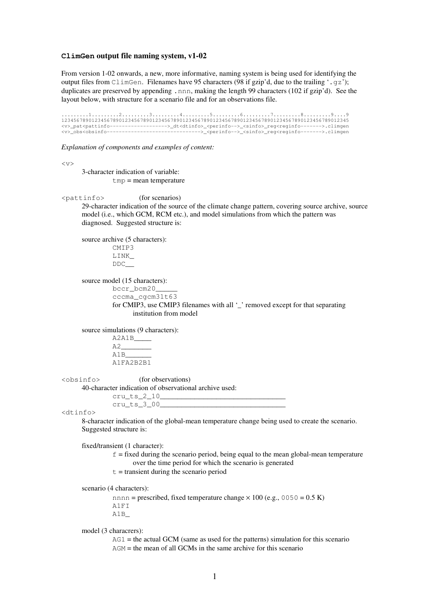# **ClimGen output file naming system, v1-02**

From version 1-02 onwards, a new, more informative, naming system is being used for identifying the output files from ClimGen. Filenames have 95 characters (98 if gzip'd, due to the trailing '.gz'); duplicates are preserved by appending .nnn, making the length 99 characters (102 if gzip'd). See the layout below, with structure for a scenario file and for an observations file.

.........1.........2.........3.........4.........5.........6.........7.........8.........9....9 12345678901234567890123456789012345678901234567890123456789012345678901234567890123456789012345 <v>\_pat<pattinfo------------------->\_dt<dtinfo>\_<perinfo-->\_<sinfo>\_reg<reginfo------->.climgen <v>\_obs<obsinfo------------------------------->\_<perinfo-->\_<sinfo>\_reg<reginfo------->.climgen

*Explanation of components and examples of content:* 

 $< v$ 

3-character indication of variable:  $tmp = mean temperature$ 

<pattinfo> (for scenarios)

29-character indication of the source of the climate change pattern, covering source archive, source model (i.e., which GCM, RCM etc.), and model simulations from which the pattern was diagnosed. Suggested structure is:

source archive (5 characters): CMIP3

LINK\_ DDC\_\_

source model (15 characters):

bccr\_bcm20 cccma\_cgcm31t63 for CMIP3, use CMIP3 filenames with all '' removed except for that separating institution from model

source simulations (9 characters):

A2A1B\_\_\_\_  $A2$ A1B\_\_\_\_\_\_ A1FA2B2B1

<obsinfo> (for observations)

40-character indication of observational archive used:

 $cru_t_s_2_10_-$ 

|                   | $cru$ ts $300$ |
|-------------------|----------------|
| <dtinfo></dtinfo> |                |

8-character indication of the global-mean temperature change being used to create the scenario. Suggested structure is:

fixed/transient (1 character):

 $f = fixed$  during the scenario period, being equal to the mean global-mean temperature over the time period for which the scenario is generated

 $t =$  transient during the scenario period

scenario (4 characters):

nnnn = prescribed, fixed temperature change  $\times$  100 (e.g., 0050 = 0.5 K) A1FI A1B\_

model (3 characrers):

 $AG1$  = the actual GCM (same as used for the patterns) simulation for this scenario  $AGM$  = the mean of all GCMs in the same archive for this scenario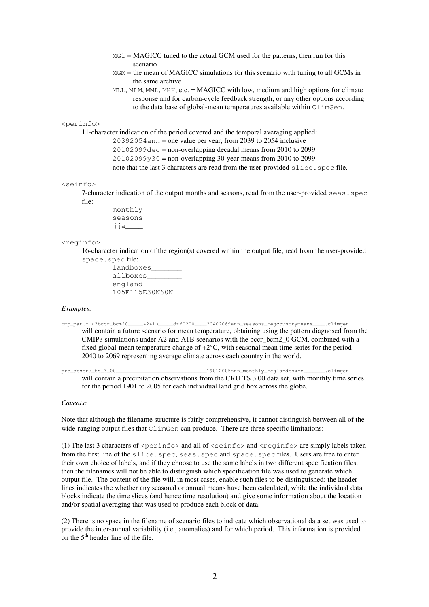- MG1 = MAGICC tuned to the actual GCM used for the patterns, then run for this scenario
- $MGM =$  the mean of MAGICC simulations for this scenario with tuning to all GCMs in the same archive
- MLL, MLM, MML, MHH, etc. = MAGICC with low, medium and high options for climate response and for carbon-cycle feedback strength, or any other options according to the data base of global-mean temperatures available within ClimGen.

## <perinfo>

11-character indication of the period covered and the temporal averaging applied:

20392054ann = one value per year, from 2039 to 2054 inclusive

 $20102099$ dec = non-overlapping decadal means from 2010 to 2099

 $20102099y30$  = non-overlapping 30-year means from 2010 to 2099

note that the last 3 characters are read from the user-provided slice.spec file.

#### <seinfo>

7-character indication of the output months and seasons, read from the user-provided seas.spec file:

> monthly seasons jja\_\_\_\_

#### <reginfo>

16-character indication of the region(s) covered within the output file, read from the user-provided space.spec file:

| landboxes      |
|----------------|
| allboxes       |
| england        |
| 105E115E30N60N |

### *Examples:*

tmp\_patCMIP3bccr\_bcm20\_\_\_\_\_\_A2A1B\_\_\_\_dtf0200\_\_\_20402069ann\_seasons\_regcountrymeans\_\_\_\_.climgen will contain a future scenario for mean temperature, obtaining using the pattern diagnosed from the CMIP3 simulations under A2 and A1B scenarios with the bccr\_bcm2\_0 GCM, combined with a fixed global-mean temperature change of +2°C, with seasonal mean time series for the period 2040 to 2069 representing average climate across each country in the world.

pre\_obscru\_ts\_3\_00\_\_\_\_\_\_\_\_\_\_\_\_\_\_\_\_\_\_\_\_\_\_\_\_\_\_\_\_\_\_19012005ann\_monthly\_reglandboxes\_\_\_\_\_\_\_.climgen will contain a precipitation observations from the CRU TS 3.00 data set, with monthly time series for the period 1901 to 2005 for each individual land grid box across the globe.

## *Caveats:*

Note that although the filename structure is fairly comprehensive, it cannot distinguish between all of the wide-ranging output files that ClimGen can produce. There are three specific limitations:

(1) The last 3 characters of  $\epsilon$  perinfo> and all of  $\epsilon$ seinfo> and  $\epsilon$ reginfo> are simply labels taken from the first line of the slice. spec, seas. spec and space. spec files. Users are free to enter their own choice of labels, and if they choose to use the same labels in two different specification files, then the filenames will not be able to distinguish which specification file was used to generate which output file. The content of the file will, in most cases, enable such files to be distinguished: the header lines indicates the whether any seasonal or annual means have been calculated, while the individual data blocks indicate the time slices (and hence time resolution) and give some information about the location and/or spatial averaging that was used to produce each block of data.

(2) There is no space in the filename of scenario files to indicate which observational data set was used to provide the inter-annual variability (i.e., anomalies) and for which period. This information is provided on the  $5<sup>th</sup>$  header line of the file.